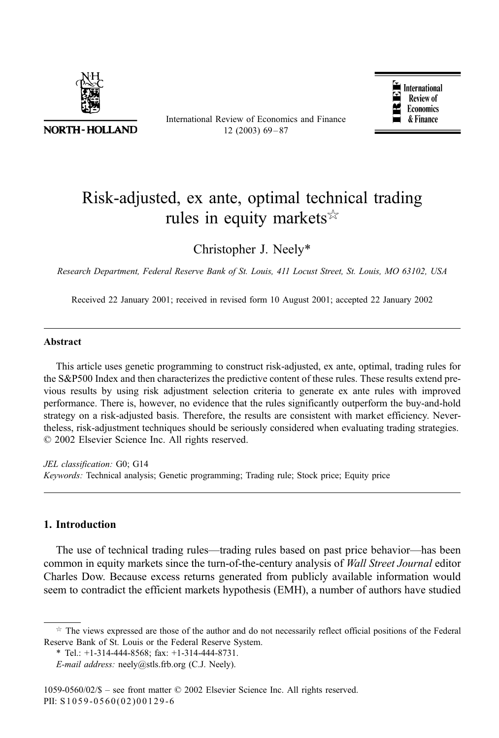

**NORTH-HOLLAND** 

International Review of Economics and Finance  $12(2003)69 - 87$ 



## Risk-adjusted, ex ante, optimal technical trading rules in equity markets  $\frac{1}{2}$

Christopher J. Neely\*

Research Department, Federal Reserve Bank of St. Louis, 411 Locust Street, St. Louis, MO 63102, USA

Received 22 January 2001; received in revised form 10 August 2001; accepted 22 January 2002

## Abstract

This article uses genetic programming to construct risk-adjusted, ex ante, optimal, trading rules for the S&P500 Index and then characterizes the predictive content of these rules. These results extend previous results by using risk adjustment selection criteria to generate ex ante rules with improved performance. There is, however, no evidence that the rules significantly outperform the buy-and-hold strategy on a risk-adjusted basis. Therefore, the results are consistent with market efficiency. Nevertheless, risk-adjustment techniques should be seriously considered when evaluating trading strategies.  $© 2002 Elsevier Science Inc. All rights reserved.$ 

JEL classification: G0; G14 Keywords: Technical analysis; Genetic programming; Trading rule; Stock price; Equity price

## 1. Introduction

The use of technical trading rules—trading rules based on past price behavior—has been common in equity markets since the turn-of-the-century analysis of Wall Street Journal editor Charles Dow. Because excess returns generated from publicly available information would seem to contradict the efficient markets hypothesis (EMH), a number of authors have studied

 $\star$  The views expressed are those of the author and do not necessarily reflect official positions of the Federal Reserve Bank of St. Louis or the Federal Reserve System.

<sup>\*</sup> Tel.: +1-314-444-8568; fax: +1-314-444-8731.

E-mail address: neely@stls.frb.org (C.J. Neely).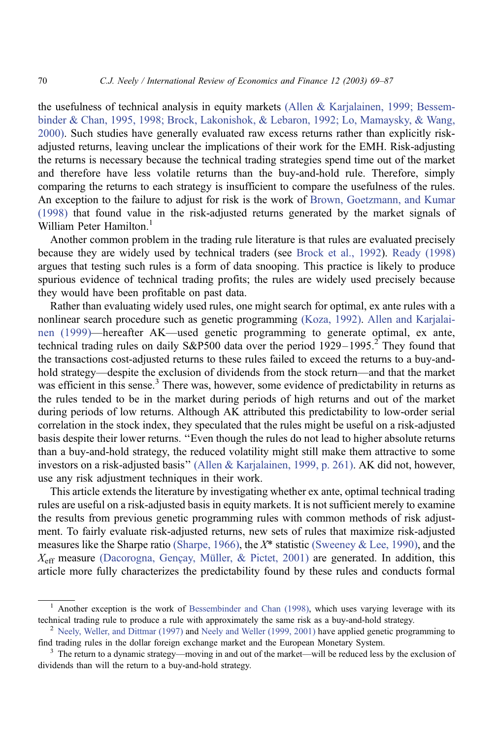the usefulness of technical analysis in equity markets [\(Allen & Karjalainen, 1999; Bessem](#page--1-0)binder & Chan, 1995, 1998; Brock, Lakonishok, & Lebaron, 1992; Lo, Mamaysky, & Wang, 2000). Such studies have generally evaluated raw excess returns rather than explicitly riskadjusted returns, leaving unclear the implications of their work for the EMH. Risk-adjusting the returns is necessary because the technical trading strategies spend time out of the market and therefore have less volatile returns than the buy-and-hold rule. Therefore, simply comparing the returns to each strategy is insufficient to compare the usefulness of the rules. An exception to the failure to adjust for risk is the work of [Brown, Goetzmann, and Kumar](#page--1-0) (1998) that found value in the risk-adjusted returns generated by the market signals of William Peter Hamilton.<sup>1</sup>

Another common problem in the trading rule literature is that rules are evaluated precisely because they are widely used by technical traders (see [Brock et al., 1992\)](#page--1-0). [Ready \(1998\)](#page--1-0) argues that testing such rules is a form of data snooping. This practice is likely to produce spurious evidence of technical trading profits; the rules are widely used precisely because they would have been profitable on past data.

Rather than evaluating widely used rules, one might search for optimal, ex ante rules with a nonlinear search procedure such as genetic programming [\(Koza, 1992\).](#page--1-0) [Allen and Karjalai](#page--1-0)nen (1999)—hereafter AK—used genetic programming to generate optimal, ex ante, technical trading rules on daily S&P500 data over the period  $1929-1995$ <sup>2</sup>. They found that the transactions cost-adjusted returns to these rules failed to exceed the returns to a buy-andhold strategy—despite the exclusion of dividends from the stock return—and that the market was efficient in this sense.<sup>3</sup> There was, however, some evidence of predictability in returns as the rules tended to be in the market during periods of high returns and out of the market during periods of low returns. Although AK attributed this predictability to low-order serial correlation in the stock index, they speculated that the rules might be useful on a risk-adjusted basis despite their lower returns. ''Even though the rules do not lead to higher absolute returns than a buy-and-hold strategy, the reduced volatility might still make them attractive to some investors on a risk-adjusted basis'' [\(Allen & Karjalainen, 1999, p. 261\).](#page--1-0) AK did not, however, use any risk adjustment techniques in their work.

This article extends the literature by investigating whether ex ante, optimal technical trading rules are useful on a risk-adjusted basis in equity markets. It is not sufficient merely to examine the results from previous genetic programming rules with common methods of risk adjustment. To fairly evaluate risk-adjusted returns, new sets of rules that maximize risk-adjusted measures like the Sharpe ratio [\(Sharpe, 1966\),](#page--1-0) the  $X^*$  statistic [\(Sweeney & Lee, 1990\),](#page--1-0) and the  $X_{\text{eff}}$  measure (Dacorogna, Gençay, Müller, & Pictet, 2001) are generated. In addition, this article more fully characterizes the predictability found by these rules and conducts formal

<sup>&</sup>lt;sup>1</sup> Another exception is the work of Bessembinder and Chan  $(1998)$ , which uses varying leverage with its technical trading rule to produce a rule with approximately the same risk as a buy-and-hold strategy.

<sup>&</sup>lt;sup>2</sup> [Neely, Weller, and Dittmar \(1997\)](#page--1-0) and [Neely and Weller \(1999, 2001\)](#page--1-0) have applied genetic programming to find trading rules in the dollar foreign exchange market and the European Monetary System.<br><sup>3</sup> The return to a dynamic strategy—moving in and out of the market—will be reduced less by the exclusion of

dividends than will the return to a buy-and-hold strategy.